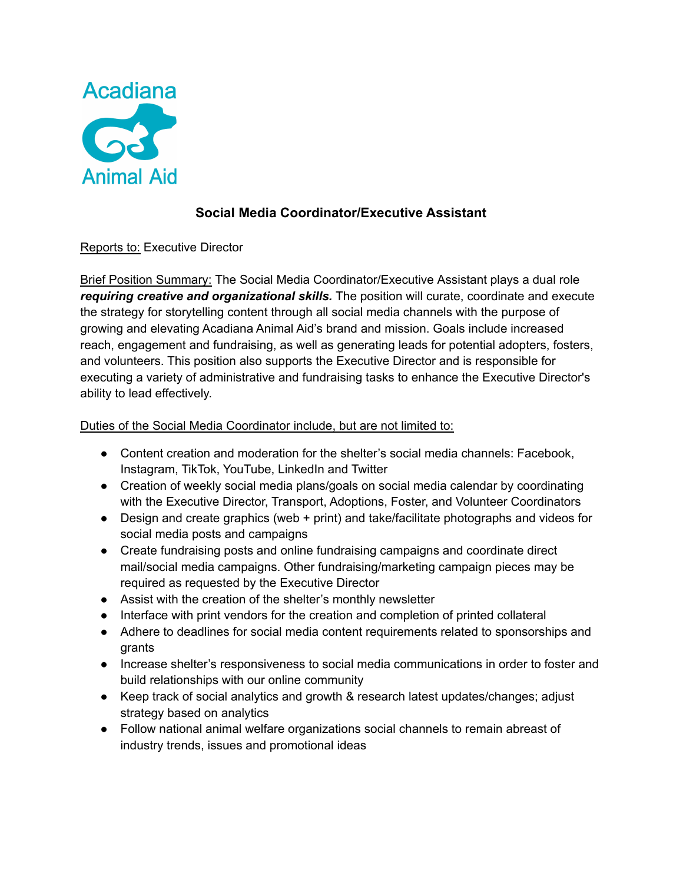

# **Social Media Coordinator/Executive Assistant**

## Reports to: Executive Director

Brief Position Summary: The Social Media Coordinator/Executive Assistant plays a dual role *requiring creative and organizational skills.* The position will curate, coordinate and execute the strategy for storytelling content through all social media channels with the purpose of growing and elevating Acadiana Animal Aid's brand and mission. Goals include increased reach, engagement and fundraising, as well as generating leads for potential adopters, fosters, and volunteers. This position also supports the Executive Director and is responsible for executing a variety of administrative and fundraising tasks to enhance the Executive Director's ability to lead effectively.

## Duties of the Social Media Coordinator include, but are not limited to:

- Content creation and moderation for the shelter's social media channels: Facebook, Instagram, TikTok, YouTube, LinkedIn and Twitter
- Creation of weekly social media plans/goals on social media calendar by coordinating with the Executive Director, Transport, Adoptions, Foster, and Volunteer Coordinators
- Design and create graphics (web + print) and take/facilitate photographs and videos for social media posts and campaigns
- Create fundraising posts and online fundraising campaigns and coordinate direct mail/social media campaigns. Other fundraising/marketing campaign pieces may be required as requested by the Executive Director
- Assist with the creation of the shelter's monthly newsletter
- Interface with print vendors for the creation and completion of printed collateral
- Adhere to deadlines for social media content requirements related to sponsorships and grants
- Increase shelter's responsiveness to social media communications in order to foster and build relationships with our online community
- Keep track of social analytics and growth & research latest updates/changes; adjust strategy based on analytics
- Follow national animal welfare organizations social channels to remain abreast of industry trends, issues and promotional ideas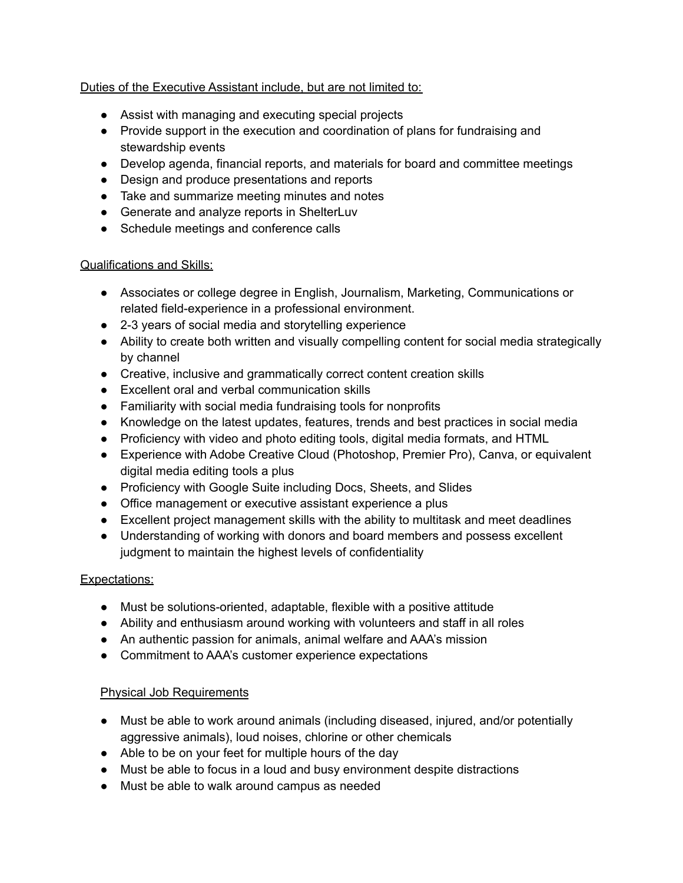## Duties of the Executive Assistant include, but are not limited to:

- Assist with managing and executing special projects
- Provide support in the execution and coordination of plans for fundraising and stewardship events
- Develop agenda, financial reports, and materials for board and committee meetings
- Design and produce presentations and reports
- Take and summarize meeting minutes and notes
- Generate and analyze reports in ShelterLuv
- Schedule meetings and conference calls

#### Qualifications and Skills:

- Associates or college degree in English, Journalism, Marketing, Communications or related field-experience in a professional environment.
- 2-3 years of social media and storytelling experience
- Ability to create both written and visually compelling content for social media strategically by channel
- Creative, inclusive and grammatically correct content creation skills
- Excellent oral and verbal communication skills
- Familiarity with social media fundraising tools for nonprofits
- Knowledge on the latest updates, features, trends and best practices in social media
- Proficiency with video and photo editing tools, digital media formats, and HTML
- Experience with Adobe Creative Cloud (Photoshop, Premier Pro), Canva, or equivalent digital media editing tools a plus
- Proficiency with Google Suite including Docs, Sheets, and Slides
- Office management or executive assistant experience a plus
- Excellent project management skills with the ability to multitask and meet deadlines
- Understanding of working with donors and board members and possess excellent judgment to maintain the highest levels of confidentiality

## Expectations:

- Must be solutions-oriented, adaptable, flexible with a positive attitude
- Ability and enthusiasm around working with volunteers and staff in all roles
- An authentic passion for animals, animal welfare and AAA's mission
- Commitment to AAA's customer experience expectations

## Physical Job Requirements

- Must be able to work around animals (including diseased, injured, and/or potentially aggressive animals), loud noises, chlorine or other chemicals
- Able to be on your feet for multiple hours of the day
- Must be able to focus in a loud and busy environment despite distractions
- Must be able to walk around campus as needed